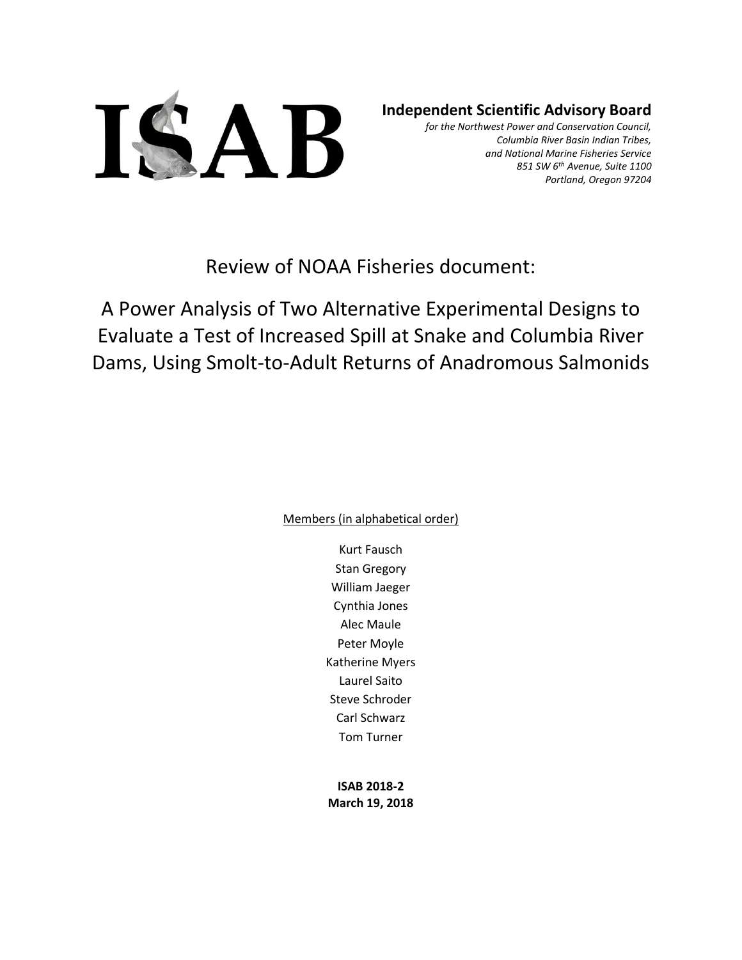

# **Independent Scientific Advisory Board**

*for the Northwest Power and Conservation Council, Columbia River Basin Indian Tribes, and National Marine Fisheries Service 851 SW 6th Avenue, Suite 1100 Portland, Oregon 97204*

Review of NOAA Fisheries document:

A Power Analysis of Two Alternative Experimental Designs to Evaluate a Test of Increased Spill at Snake and Columbia River Dams, Using Smolt-to-Adult Returns of Anadromous Salmonids

Members (in alphabetical order)

Kurt Fausch Stan Gregory William Jaeger Cynthia Jones Alec Maule Peter Moyle Katherine Myers Laurel Saito Steve Schroder Carl Schwarz Tom Turner

**ISAB 2018-2 March 19, 2018**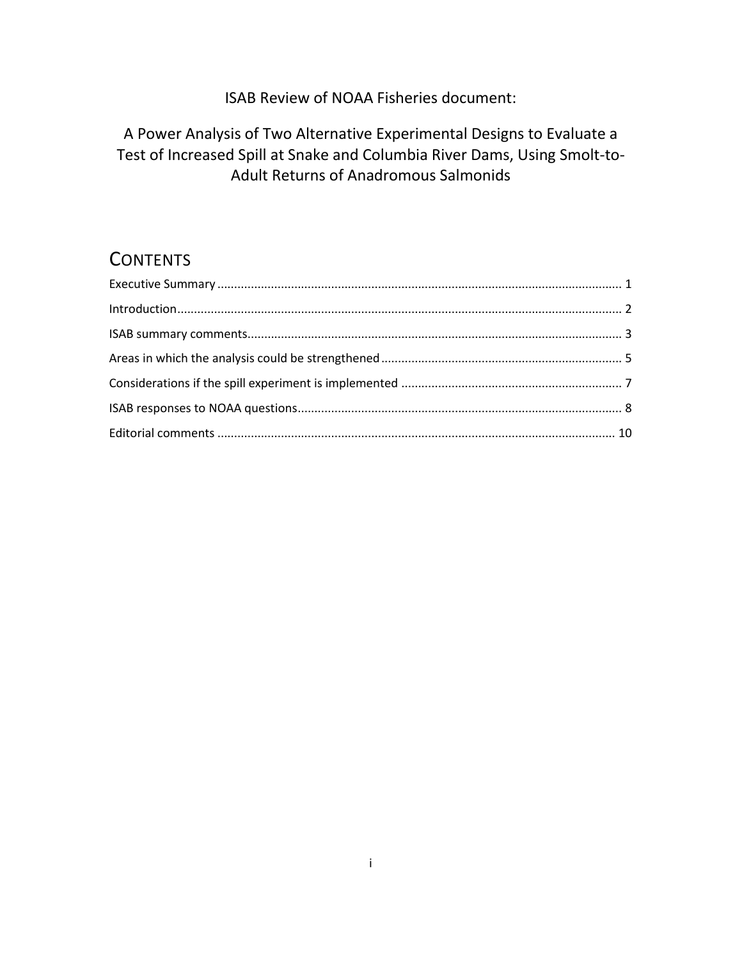# ISAB Review of NOAA Fisheries document:

# A Power Analysis of Two Alternative Experimental Designs to Evaluate a Test of Increased Spill at Snake and Columbia River Dams, Using Smolt-to-Adult Returns of Anadromous Salmonids

# **CONTENTS**

| Introduction 22 |  |
|-----------------|--|
|                 |  |
|                 |  |
|                 |  |
|                 |  |
|                 |  |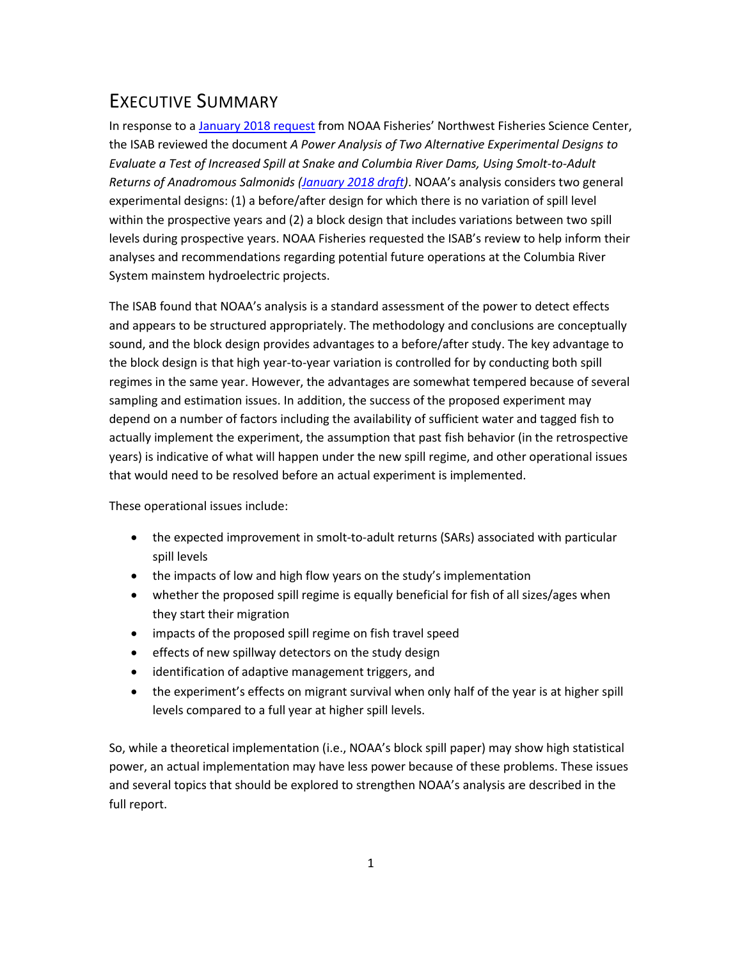# <span id="page-2-0"></span>EXECUTIVE SUMMARY

In response to a [January 2018 request](https://nwcouncil.box.com/s/l1fcwsqkom05dgxhl3va0vhychei2lrz) from NOAA Fisheries' Northwest Fisheries Science Center, the ISAB reviewed the document *A Power Analysis of Two Alternative Experimental Designs to Evaluate a Test of Increased Spill at Snake and Columbia River Dams, Using Smolt-to-Adult Returns of Anadromous Salmonids [\(January 2018 draft\)](https://nwcouncil.box.com/s/8zt2dcnff2a8qbb09tngofu11a8bpso6)*. NOAA's analysis considers two general experimental designs: (1) a before/after design for which there is no variation of spill level within the prospective years and (2) a block design that includes variations between two spill levels during prospective years. NOAA Fisheries requested the ISAB's review to help inform their analyses and recommendations regarding potential future operations at the Columbia River System mainstem hydroelectric projects.

The ISAB found that NOAA's analysis is a standard assessment of the power to detect effects and appears to be structured appropriately. The methodology and conclusions are conceptually sound, and the block design provides advantages to a before/after study. The key advantage to the block design is that high year-to-year variation is controlled for by conducting both spill regimes in the same year. However, the advantages are somewhat tempered because of several sampling and estimation issues. In addition, the success of the proposed experiment may depend on a number of factors including the availability of sufficient water and tagged fish to actually implement the experiment, the assumption that past fish behavior (in the retrospective years) is indicative of what will happen under the new spill regime, and other operational issues that would need to be resolved before an actual experiment is implemented.

These operational issues include:

- the expected improvement in smolt-to-adult returns (SARs) associated with particular spill levels
- the impacts of low and high flow years on the study's implementation
- whether the proposed spill regime is equally beneficial for fish of all sizes/ages when they start their migration
- impacts of the proposed spill regime on fish travel speed
- **•** effects of new spillway detectors on the study design
- identification of adaptive management triggers, and
- the experiment's effects on migrant survival when only half of the year is at higher spill levels compared to a full year at higher spill levels.

So, while a theoretical implementation (i.e., NOAA's block spill paper) may show high statistical power, an actual implementation may have less power because of these problems. These issues and several topics that should be explored to strengthen NOAA's analysis are described in the full report.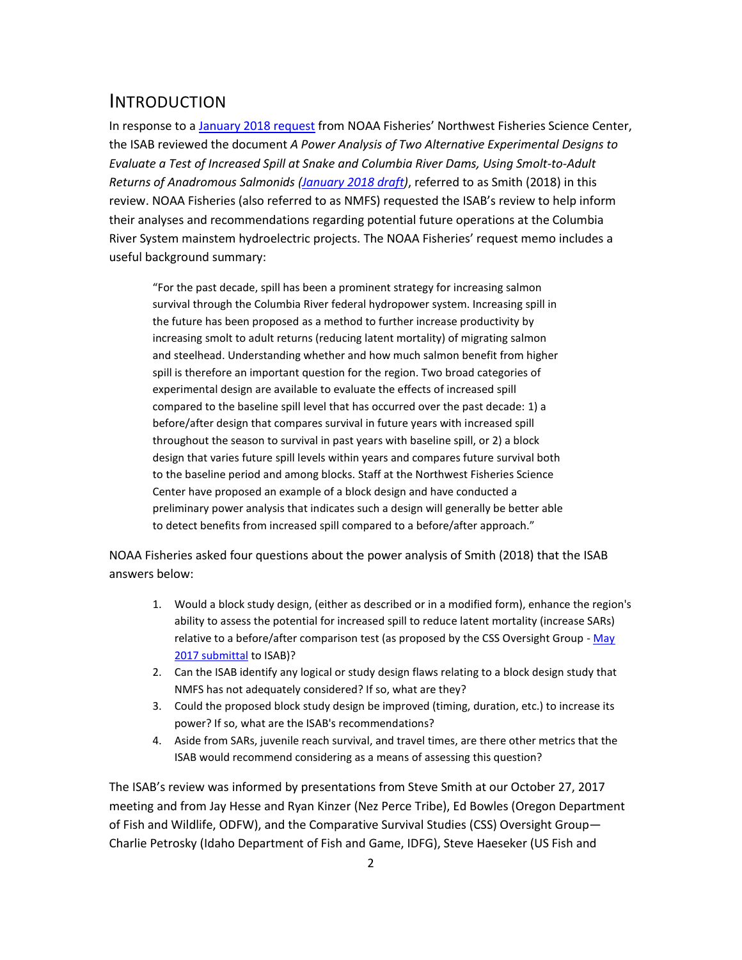# <span id="page-3-0"></span>INTRODUCTION

In response to a [January 2018 request](https://nwcouncil.box.com/s/l1fcwsqkom05dgxhl3va0vhychei2lrz) from NOAA Fisheries' Northwest Fisheries Science Center, the ISAB reviewed the document *A Power Analysis of Two Alternative Experimental Designs to Evaluate a Test of Increased Spill at Snake and Columbia River Dams, Using Smolt-to-Adult Returns of Anadromous Salmonids [\(January 2018 draft\)](https://nwcouncil.box.com/s/8zt2dcnff2a8qbb09tngofu11a8bpso6)*, referred to as Smith (2018) in this review. NOAA Fisheries (also referred to as NMFS) requested the ISAB's review to help inform their analyses and recommendations regarding potential future operations at the Columbia River System mainstem hydroelectric projects. The NOAA Fisheries' request memo includes a useful background summary:

"For the past decade, spill has been a prominent strategy for increasing salmon survival through the Columbia River federal hydropower system. Increasing spill in the future has been proposed as a method to further increase productivity by increasing smolt to adult returns (reducing latent mortality) of migrating salmon and steelhead. Understanding whether and how much salmon benefit from higher spill is therefore an important question for the region. Two broad categories of experimental design are available to evaluate the effects of increased spill compared to the baseline spill level that has occurred over the past decade: 1) a before/after design that compares survival in future years with increased spill throughout the season to survival in past years with baseline spill, or 2) a block design that varies future spill levels within years and compares future survival both to the baseline period and among blocks. Staff at the Northwest Fisheries Science Center have proposed an example of a block design and have conducted a preliminary power analysis that indicates such a design will generally be better able to detect benefits from increased spill compared to a before/after approach."

NOAA Fisheries asked four questions about the power analysis of Smith (2018) that the ISAB answers below:

- 1. Would a block study design, (either as described or in a modified form), enhance the region's ability to assess the potential for increased spill to reduce latent mortality (increase SARs) relative to a before/after comparison test (as proposed by the CSS Oversight Group - May [2017 submittal](https://nwcouncil.box.com/s/per3ohzhmc15g83c5l9uwa9jujtm79ay) to ISAB)?
- 2. Can the ISAB identify any logical or study design flaws relating to a block design study that NMFS has not adequately considered? If so, what are they?
- 3. Could the proposed block study design be improved (timing, duration, etc.) to increase its power? If so, what are the ISAB's recommendations?
- 4. Aside from SARs, juvenile reach survival, and travel times, are there other metrics that the ISAB would recommend considering as a means of assessing this question?

The ISAB's review was informed by presentations from Steve Smith at our October 27, 2017 meeting and from Jay Hesse and Ryan Kinzer (Nez Perce Tribe), Ed Bowles (Oregon Department of Fish and Wildlife, ODFW), and the Comparative Survival Studies (CSS) Oversight Group— Charlie Petrosky (Idaho Department of Fish and Game, IDFG), Steve Haeseker (US Fish and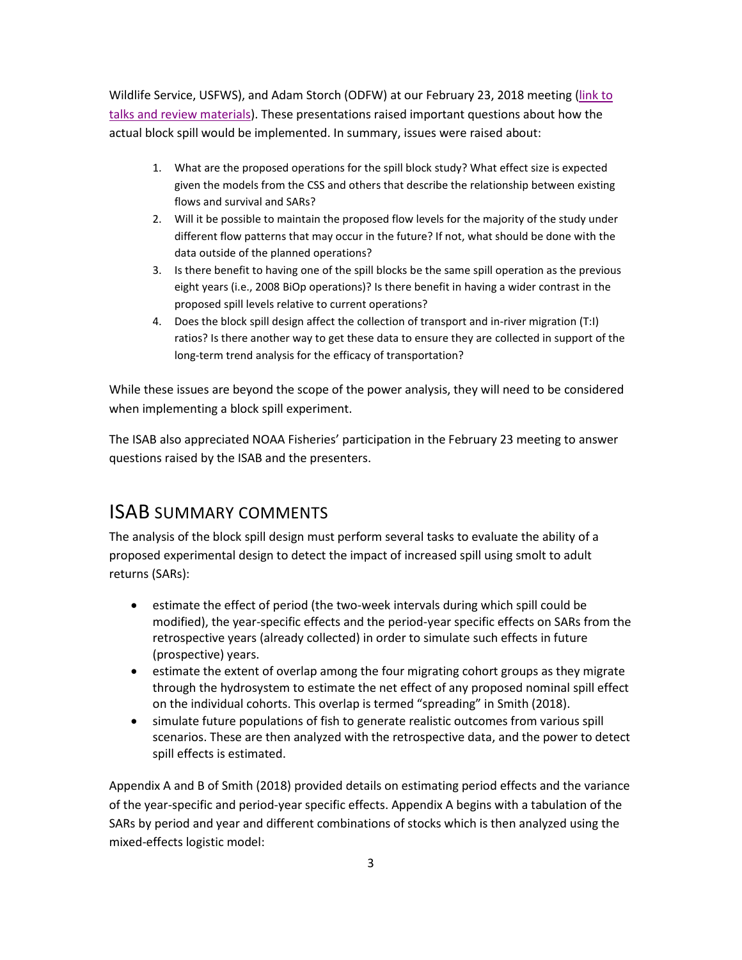Wildlife Service, USFWS), and Adam Storch (ODFW) at our February 23, 2018 meeting [\(link to](https://nwcouncil.box.com/s/cmks1sqq842tq3gy8sts3s4thb7s1njb)  talks [and review materials\)](https://nwcouncil.box.com/s/cmks1sqq842tq3gy8sts3s4thb7s1njb). These presentations raised important questions about how the actual block spill would be implemented. In summary, issues were raised about:

- 1. What are the proposed operations for the spill block study? What effect size is expected given the models from the CSS and others that describe the relationship between existing flows and survival and SARs?
- 2. Will it be possible to maintain the proposed flow levels for the majority of the study under different flow patterns that may occur in the future? If not, what should be done with the data outside of the planned operations?
- 3. Is there benefit to having one of the spill blocks be the same spill operation as the previous eight years (i.e., 2008 BiOp operations)? Is there benefit in having a wider contrast in the proposed spill levels relative to current operations?
- 4. Does the block spill design affect the collection of transport and in-river migration (T:I) ratios? Is there another way to get these data to ensure they are collected in support of the long-term trend analysis for the efficacy of transportation?

While these issues are beyond the scope of the power analysis, they will need to be considered when implementing a block spill experiment.

The ISAB also appreciated NOAA Fisheries' participation in the February 23 meeting to answer questions raised by the ISAB and the presenters.

# <span id="page-4-0"></span>ISAB SUMMARY COMMENTS

The analysis of the block spill design must perform several tasks to evaluate the ability of a proposed experimental design to detect the impact of increased spill using smolt to adult returns (SARs):

- estimate the effect of period (the two-week intervals during which spill could be modified), the year-specific effects and the period-year specific effects on SARs from the retrospective years (already collected) in order to simulate such effects in future (prospective) years.
- estimate the extent of overlap among the four migrating cohort groups as they migrate through the hydrosystem to estimate the net effect of any proposed nominal spill effect on the individual cohorts. This overlap is termed "spreading" in Smith (2018).
- simulate future populations of fish to generate realistic outcomes from various spill scenarios. These are then analyzed with the retrospective data, and the power to detect spill effects is estimated.

Appendix A and B of Smith (2018) provided details on estimating period effects and the variance of the year-specific and period-year specific effects. Appendix A begins with a tabulation of the SARs by period and year and different combinations of stocks which is then analyzed using the mixed-effects logistic model: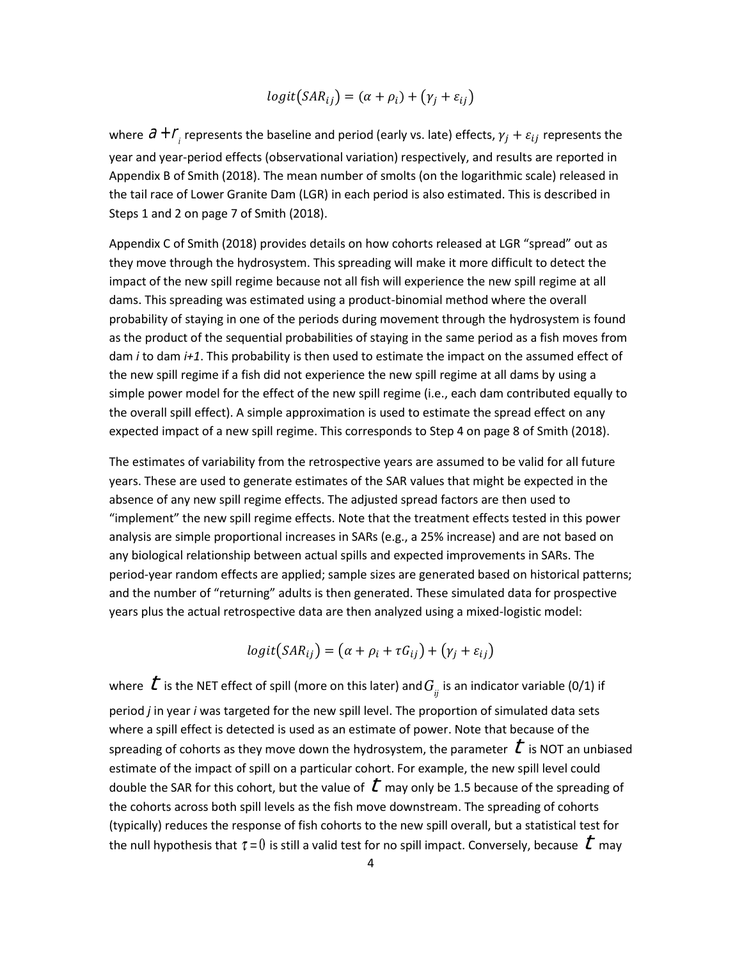$$
logit(SAR_{ij}) = (\alpha + \rho_i) + (\gamma_j + \varepsilon_{ij})
$$

where  $\partial$  +  $\varGamma$ <sub>*i*</sub> represents the baseline and period (early vs. late) effects,  $\gamma_j$  +  $\varepsilon_{ij}$  represents the year and year-period effects (observational variation) respectively, and results are reported in Appendix B of Smith (2018). The mean number of smolts (on the logarithmic scale) released in the tail race of Lower Granite Dam (LGR) in each period is also estimated. This is described in Steps 1 and 2 on page 7 of Smith (2018).

Appendix C of Smith (2018) provides details on how cohorts released at LGR "spread" out as they move through the hydrosystem. This spreading will make it more difficult to detect the impact of the new spill regime because not all fish will experience the new spill regime at all dams. This spreading was estimated using a product-binomial method where the overall probability of staying in one of the periods during movement through the hydrosystem is found as the product of the sequential probabilities of staying in the same period as a fish moves from dam *i* to dam *i+1*. This probability is then used to estimate the impact on the assumed effect of the new spill regime if a fish did not experience the new spill regime at all dams by using a simple power model for the effect of the new spill regime (i.e., each dam contributed equally to the overall spill effect). A simple approximation is used to estimate the spread effect on any expected impact of a new spill regime. This corresponds to Step 4 on page 8 of Smith (2018).

The estimates of variability from the retrospective years are assumed to be valid for all future years. These are used to generate estimates of the SAR values that might be expected in the absence of any new spill regime effects. The adjusted spread factors are then used to "implement" the new spill regime effects. Note that the treatment effects tested in this power analysis are simple proportional increases in SARs (e.g., a 25% increase) and are not based on any biological relationship between actual spills and expected improvements in SARs. The period-year random effects are applied; sample sizes are generated based on historical patterns; and the number of "returning" adults is then generated. These simulated data for prospective years plus the actual retrospective data are then analyzed using a mixed-logistic model:

$$
logit(SAR_{ij}) = (\alpha + \rho_i + \tau G_{ij}) + (\gamma_j + \varepsilon_{ij})
$$

where  $\stackrel{\bullet}{\cal L}$  is the NET effect of spill (more on this later) and  $G_{_\mathit{i}}$  is an indicator variable (0/1) if period *j* in year *i* was targeted for the new spill level. The proportion of simulated data sets where a spill effect is detected is used as an estimate of power. Note that because of the spreading of cohorts as they move down the hydrosystem, the parameter  $\;l\;$  is NOT an unbiased estimate of the impact of spill on a particular cohort. For example, the new spill level could double the SAR for this cohort, but the value of  $\,$   $\bar{t}\,$  may only be 1.5 because of the spreading of the cohorts across both spill levels as the fish move downstream. The spreading of cohorts (typically) reduces the response of fish cohorts to the new spill overall, but a statistical test for the null hypothesis that  $\tau$  =  $0$  is still a valid test for no spill impact. Conversely, because  $\;$   $\bar{t}$  may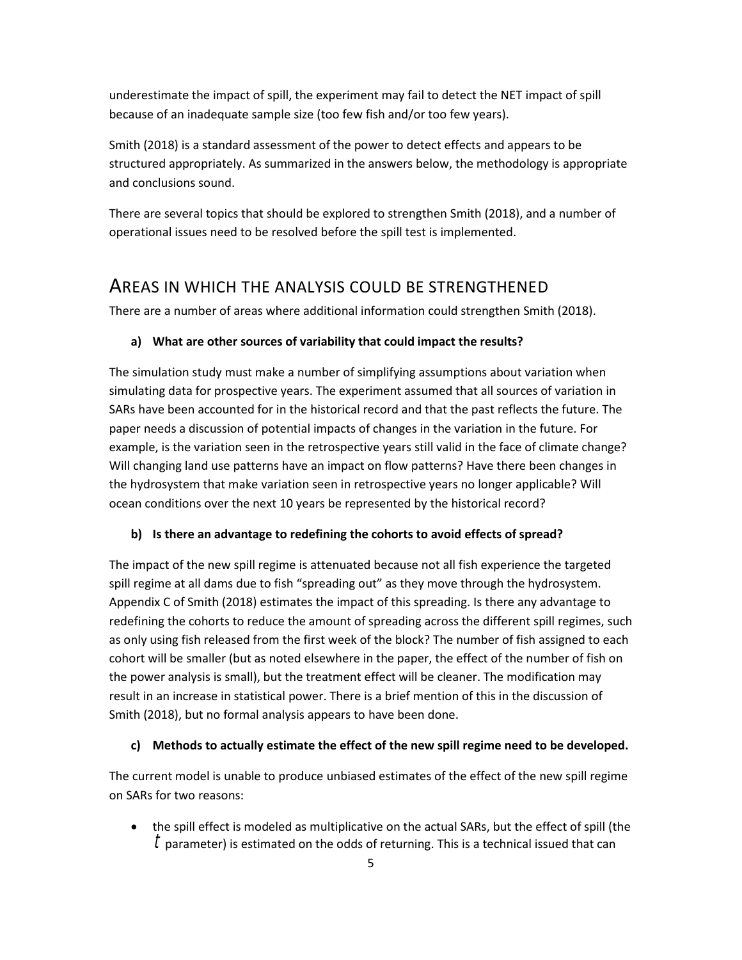underestimate the impact of spill, the experiment may fail to detect the NET impact of spill because of an inadequate sample size (too few fish and/or too few years).

Smith (2018) is a standard assessment of the power to detect effects and appears to be structured appropriately. As summarized in the answers below, the methodology is appropriate and conclusions sound.

There are several topics that should be explored to strengthen Smith (2018), and a number of operational issues need to be resolved before the spill test is implemented.

# <span id="page-6-0"></span>AREAS IN WHICH THE ANALYSIS COULD BE STRENGTHENED

There are a number of areas where additional information could strengthen Smith (2018).

### **a) What are other sources of variability that could impact the results?**

The simulation study must make a number of simplifying assumptions about variation when simulating data for prospective years. The experiment assumed that all sources of variation in SARs have been accounted for in the historical record and that the past reflects the future. The paper needs a discussion of potential impacts of changes in the variation in the future. For example, is the variation seen in the retrospective years still valid in the face of climate change? Will changing land use patterns have an impact on flow patterns? Have there been changes in the hydrosystem that make variation seen in retrospective years no longer applicable? Will ocean conditions over the next 10 years be represented by the historical record?

### **b) Is there an advantage to redefining the cohorts to avoid effects of spread?**

The impact of the new spill regime is attenuated because not all fish experience the targeted spill regime at all dams due to fish "spreading out" as they move through the hydrosystem. Appendix C of Smith (2018) estimates the impact of this spreading. Is there any advantage to redefining the cohorts to reduce the amount of spreading across the different spill regimes, such as only using fish released from the first week of the block? The number of fish assigned to each cohort will be smaller (but as noted elsewhere in the paper, the effect of the number of fish on the power analysis is small), but the treatment effect will be cleaner. The modification may result in an increase in statistical power. There is a brief mention of this in the discussion of Smith (2018), but no formal analysis appears to have been done.

### **c) Methods to actually estimate the effect of the new spill regime need to be developed.**

The current model is unable to produce unbiased estimates of the effect of the new spill regime on SARs for two reasons:

 the spill effect is modeled as multiplicative on the actual SARs, but the effect of spill (the  $^\dagger$  parameter) is estimated on the odds of returning. This is a technical issued that can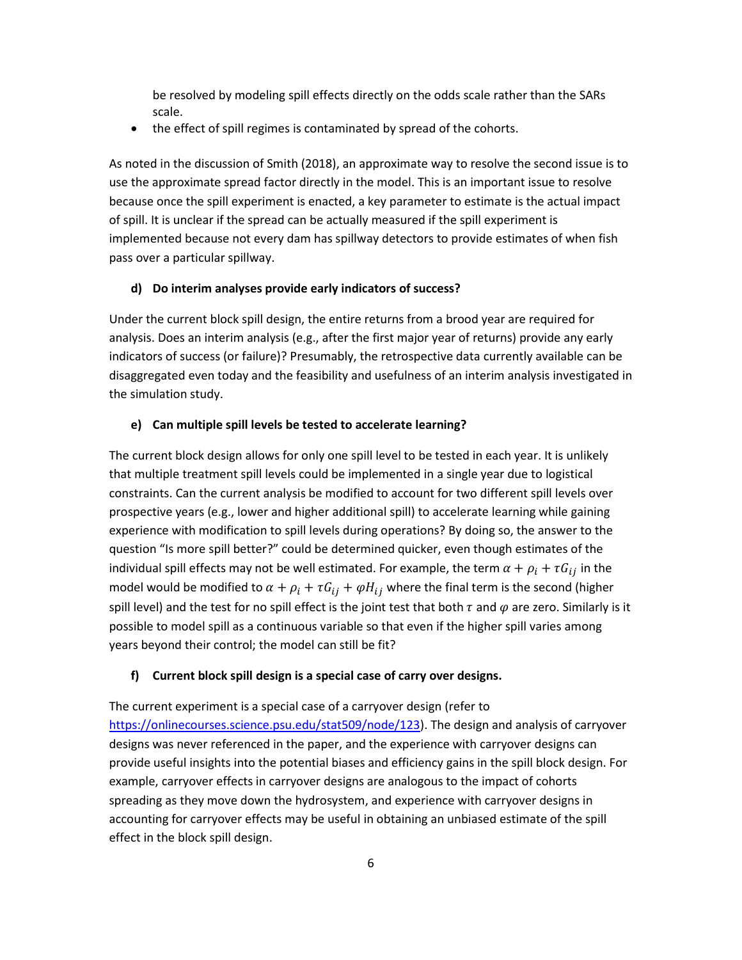be resolved by modeling spill effects directly on the odds scale rather than the SARs scale.

• the effect of spill regimes is contaminated by spread of the cohorts.

As noted in the discussion of Smith (2018), an approximate way to resolve the second issue is to use the approximate spread factor directly in the model. This is an important issue to resolve because once the spill experiment is enacted, a key parameter to estimate is the actual impact of spill. It is unclear if the spread can be actually measured if the spill experiment is implemented because not every dam has spillway detectors to provide estimates of when fish pass over a particular spillway.

#### **d) Do interim analyses provide early indicators of success?**

Under the current block spill design, the entire returns from a brood year are required for analysis. Does an interim analysis (e.g., after the first major year of returns) provide any early indicators of success (or failure)? Presumably, the retrospective data currently available can be disaggregated even today and the feasibility and usefulness of an interim analysis investigated in the simulation study.

#### **e) Can multiple spill levels be tested to accelerate learning?**

The current block design allows for only one spill level to be tested in each year. It is unlikely that multiple treatment spill levels could be implemented in a single year due to logistical constraints. Can the current analysis be modified to account for two different spill levels over prospective years (e.g., lower and higher additional spill) to accelerate learning while gaining experience with modification to spill levels during operations? By doing so, the answer to the question "Is more spill better?" could be determined quicker, even though estimates of the individual spill effects may not be well estimated. For example, the term  $\alpha + \rho_i + \tau G_{ij}$  in the model would be modified to  $\alpha + \rho_i + \tau G_{ij} + \varphi H_{ij}$  where the final term is the second (higher spill level) and the test for no spill effect is the joint test that both  $\tau$  and  $\varphi$  are zero. Similarly is it possible to model spill as a continuous variable so that even if the higher spill varies among years beyond their control; the model can still be fit?

### **f) Current block spill design is a special case of carry over designs.**

The current experiment is a special case of a carryover design (refer to [https://onlinecourses.science.psu.edu/stat509/node/123\)](https://onlinecourses.science.psu.edu/stat509/node/123). The design and analysis of carryover designs was never referenced in the paper, and the experience with carryover designs can provide useful insights into the potential biases and efficiency gains in the spill block design. For example, carryover effects in carryover designs are analogous to the impact of cohorts spreading as they move down the hydrosystem, and experience with carryover designs in accounting for carryover effects may be useful in obtaining an unbiased estimate of the spill effect in the block spill design.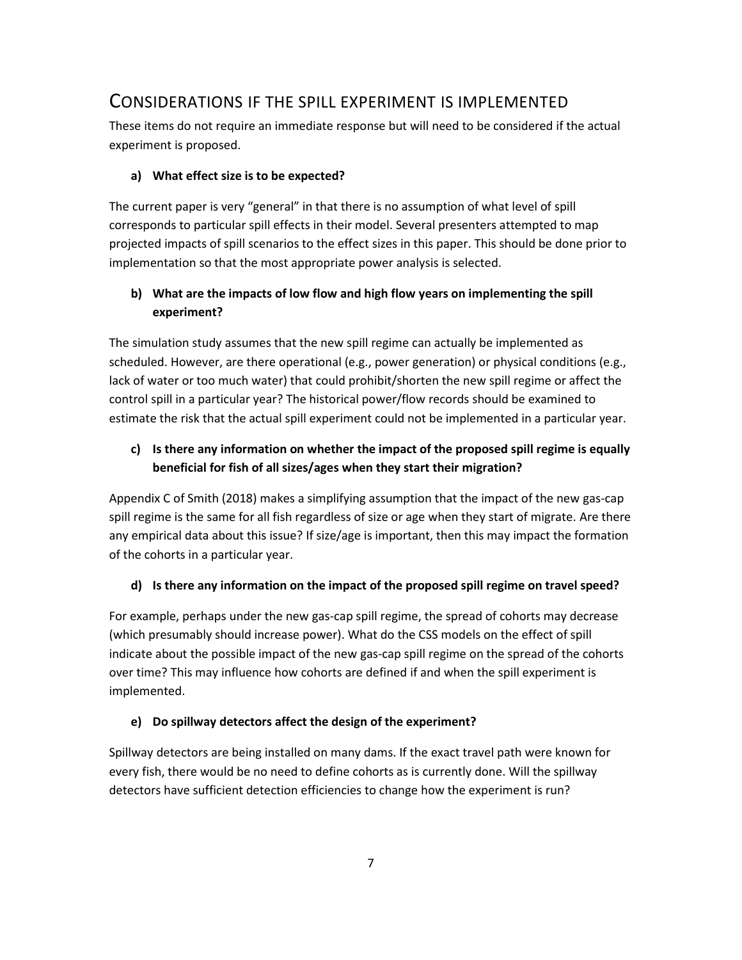# <span id="page-8-0"></span>CONSIDERATIONS IF THE SPILL EXPERIMENT IS IMPLEMENTED

These items do not require an immediate response but will need to be considered if the actual experiment is proposed.

### **a) What effect size is to be expected?**

The current paper is very "general" in that there is no assumption of what level of spill corresponds to particular spill effects in their model. Several presenters attempted to map projected impacts of spill scenarios to the effect sizes in this paper. This should be done prior to implementation so that the most appropriate power analysis is selected.

## **b) What are the impacts of low flow and high flow years on implementing the spill experiment?**

The simulation study assumes that the new spill regime can actually be implemented as scheduled. However, are there operational (e.g., power generation) or physical conditions (e.g., lack of water or too much water) that could prohibit/shorten the new spill regime or affect the control spill in a particular year? The historical power/flow records should be examined to estimate the risk that the actual spill experiment could not be implemented in a particular year.

## **c) Is there any information on whether the impact of the proposed spill regime is equally beneficial for fish of all sizes/ages when they start their migration?**

Appendix C of Smith (2018) makes a simplifying assumption that the impact of the new gas-cap spill regime is the same for all fish regardless of size or age when they start of migrate. Are there any empirical data about this issue? If size/age is important, then this may impact the formation of the cohorts in a particular year.

## **d) Is there any information on the impact of the proposed spill regime on travel speed?**

For example, perhaps under the new gas-cap spill regime, the spread of cohorts may decrease (which presumably should increase power). What do the CSS models on the effect of spill indicate about the possible impact of the new gas-cap spill regime on the spread of the cohorts over time? This may influence how cohorts are defined if and when the spill experiment is implemented.

### **e) Do spillway detectors affect the design of the experiment?**

Spillway detectors are being installed on many dams. If the exact travel path were known for every fish, there would be no need to define cohorts as is currently done. Will the spillway detectors have sufficient detection efficiencies to change how the experiment is run?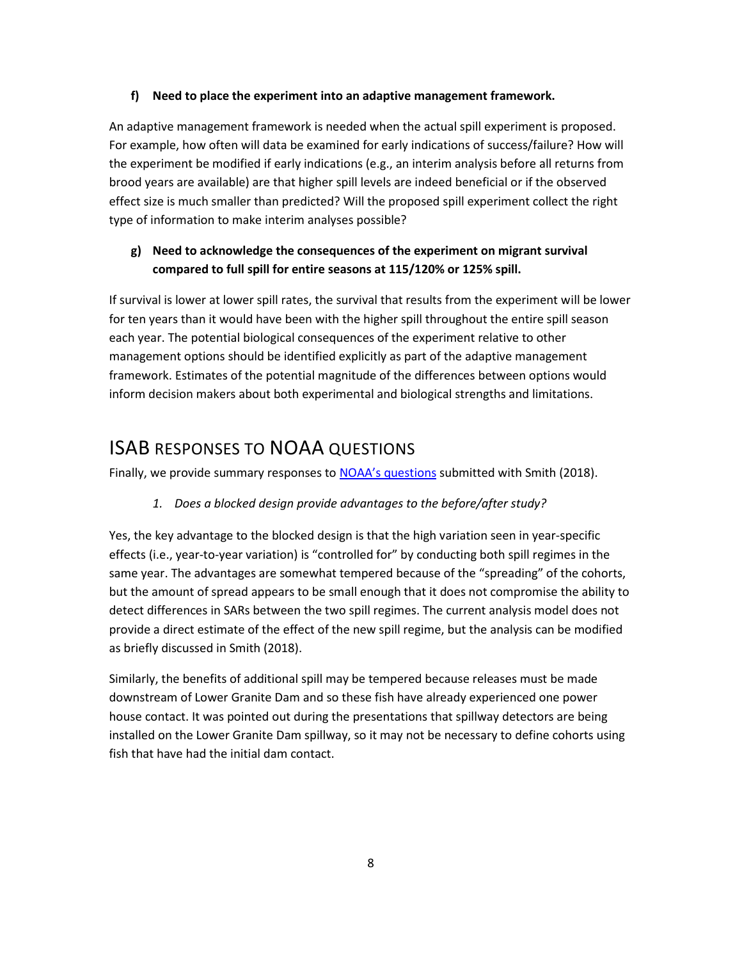### **f) Need to place the experiment into an adaptive management framework.**

An adaptive management framework is needed when the actual spill experiment is proposed. For example, how often will data be examined for early indications of success/failure? How will the experiment be modified if early indications (e.g., an interim analysis before all returns from brood years are available) are that higher spill levels are indeed beneficial or if the observed effect size is much smaller than predicted? Will the proposed spill experiment collect the right type of information to make interim analyses possible?

## **g) Need to acknowledge the consequences of the experiment on migrant survival compared to full spill for entire seasons at 115/120% or 125% spill.**

If survival is lower at lower spill rates, the survival that results from the experiment will be lower for ten years than it would have been with the higher spill throughout the entire spill season each year. The potential biological consequences of the experiment relative to other management options should be identified explicitly as part of the adaptive management framework. Estimates of the potential magnitude of the differences between options would inform decision makers about both experimental and biological strengths and limitations.

# <span id="page-9-0"></span>ISAB RESPONSES TO NOAA QUESTIONS

Finally, we provide summary responses to **[NOAA's questions](https://nwcouncil.box.com/s/l1fcwsqkom05dgxhl3va0vhychei2lrz)** submitted with Smith (2018).

## *1. Does a blocked design provide advantages to the before/after study?*

Yes, the key advantage to the blocked design is that the high variation seen in year-specific effects (i.e., year-to-year variation) is "controlled for" by conducting both spill regimes in the same year. The advantages are somewhat tempered because of the "spreading" of the cohorts, but the amount of spread appears to be small enough that it does not compromise the ability to detect differences in SARs between the two spill regimes. The current analysis model does not provide a direct estimate of the effect of the new spill regime, but the analysis can be modified as briefly discussed in Smith (2018).

Similarly, the benefits of additional spill may be tempered because releases must be made downstream of Lower Granite Dam and so these fish have already experienced one power house contact. It was pointed out during the presentations that spillway detectors are being installed on the Lower Granite Dam spillway, so it may not be necessary to define cohorts using fish that have had the initial dam contact.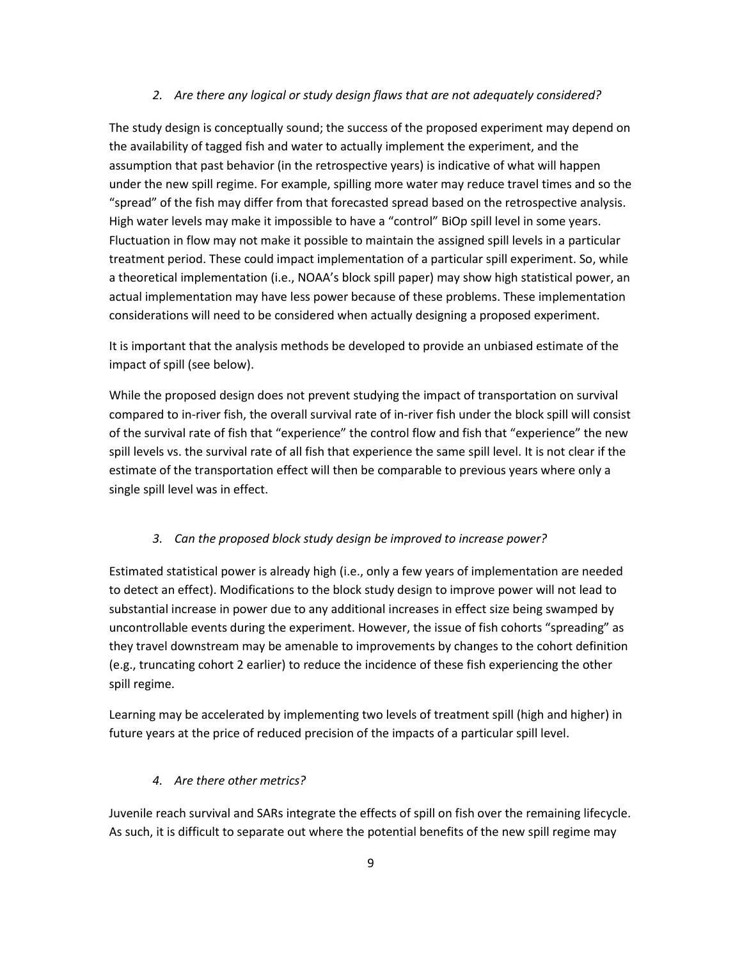#### *2. Are there any logical or study design flaws that are not adequately considered?*

The study design is conceptually sound; the success of the proposed experiment may depend on the availability of tagged fish and water to actually implement the experiment, and the assumption that past behavior (in the retrospective years) is indicative of what will happen under the new spill regime. For example, spilling more water may reduce travel times and so the "spread" of the fish may differ from that forecasted spread based on the retrospective analysis. High water levels may make it impossible to have a "control" BiOp spill level in some years. Fluctuation in flow may not make it possible to maintain the assigned spill levels in a particular treatment period. These could impact implementation of a particular spill experiment. So, while a theoretical implementation (i.e., NOAA's block spill paper) may show high statistical power, an actual implementation may have less power because of these problems. These implementation considerations will need to be considered when actually designing a proposed experiment.

It is important that the analysis methods be developed to provide an unbiased estimate of the impact of spill (see below).

While the proposed design does not prevent studying the impact of transportation on survival compared to in-river fish, the overall survival rate of in-river fish under the block spill will consist of the survival rate of fish that "experience" the control flow and fish that "experience" the new spill levels vs. the survival rate of all fish that experience the same spill level. It is not clear if the estimate of the transportation effect will then be comparable to previous years where only a single spill level was in effect.

#### *3. Can the proposed block study design be improved to increase power?*

Estimated statistical power is already high (i.e., only a few years of implementation are needed to detect an effect). Modifications to the block study design to improve power will not lead to substantial increase in power due to any additional increases in effect size being swamped by uncontrollable events during the experiment. However, the issue of fish cohorts "spreading" as they travel downstream may be amenable to improvements by changes to the cohort definition (e.g., truncating cohort 2 earlier) to reduce the incidence of these fish experiencing the other spill regime.

Learning may be accelerated by implementing two levels of treatment spill (high and higher) in future years at the price of reduced precision of the impacts of a particular spill level.

#### *4. Are there other metrics?*

Juvenile reach survival and SARs integrate the effects of spill on fish over the remaining lifecycle. As such, it is difficult to separate out where the potential benefits of the new spill regime may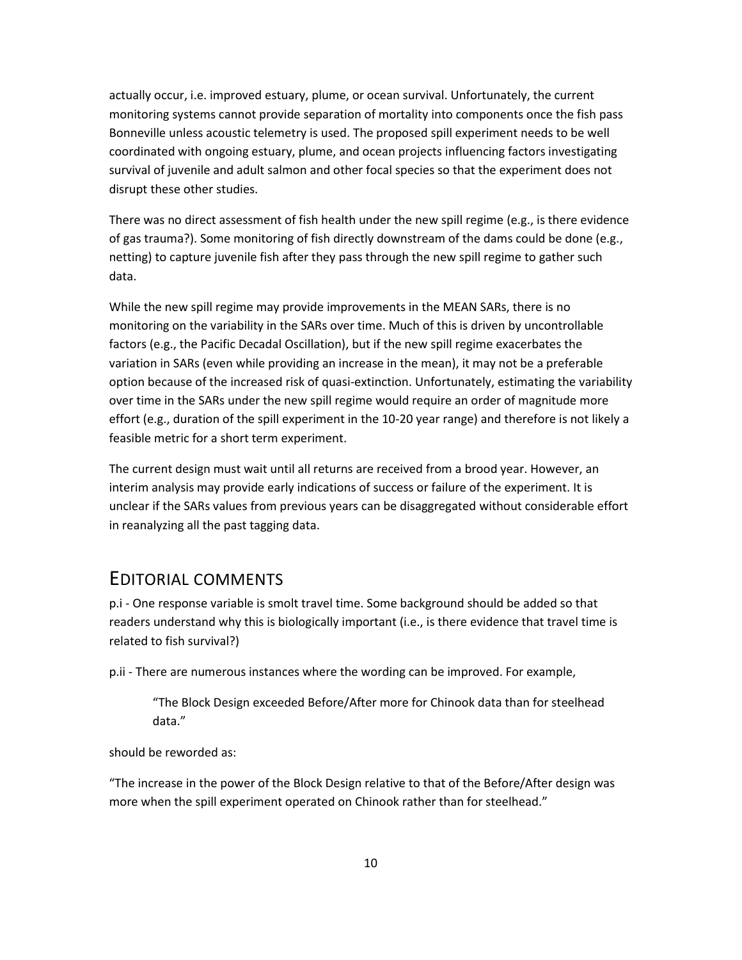actually occur, i.e. improved estuary, plume, or ocean survival. Unfortunately, the current monitoring systems cannot provide separation of mortality into components once the fish pass Bonneville unless acoustic telemetry is used. The proposed spill experiment needs to be well coordinated with ongoing estuary, plume, and ocean projects influencing factors investigating survival of juvenile and adult salmon and other focal species so that the experiment does not disrupt these other studies.

There was no direct assessment of fish health under the new spill regime (e.g., is there evidence of gas trauma?). Some monitoring of fish directly downstream of the dams could be done (e.g., netting) to capture juvenile fish after they pass through the new spill regime to gather such data.

While the new spill regime may provide improvements in the MEAN SARs, there is no monitoring on the variability in the SARs over time. Much of this is driven by uncontrollable factors (e.g., the Pacific Decadal Oscillation), but if the new spill regime exacerbates the variation in SARs (even while providing an increase in the mean), it may not be a preferable option because of the increased risk of quasi-extinction. Unfortunately, estimating the variability over time in the SARs under the new spill regime would require an order of magnitude more effort (e.g., duration of the spill experiment in the 10-20 year range) and therefore is not likely a feasible metric for a short term experiment.

The current design must wait until all returns are received from a brood year. However, an interim analysis may provide early indications of success or failure of the experiment. It is unclear if the SARs values from previous years can be disaggregated without considerable effort in reanalyzing all the past tagging data.

# <span id="page-11-0"></span>EDITORIAL COMMENTS

p.i - One response variable is smolt travel time. Some background should be added so that readers understand why this is biologically important (i.e., is there evidence that travel time is related to fish survival?)

p.ii - There are numerous instances where the wording can be improved. For example,

"The Block Design exceeded Before/After more for Chinook data than for steelhead data."

should be reworded as:

"The increase in the power of the Block Design relative to that of the Before/After design was more when the spill experiment operated on Chinook rather than for steelhead."